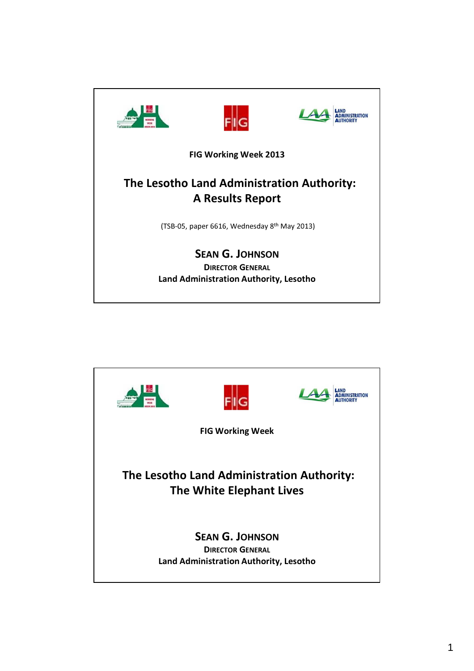

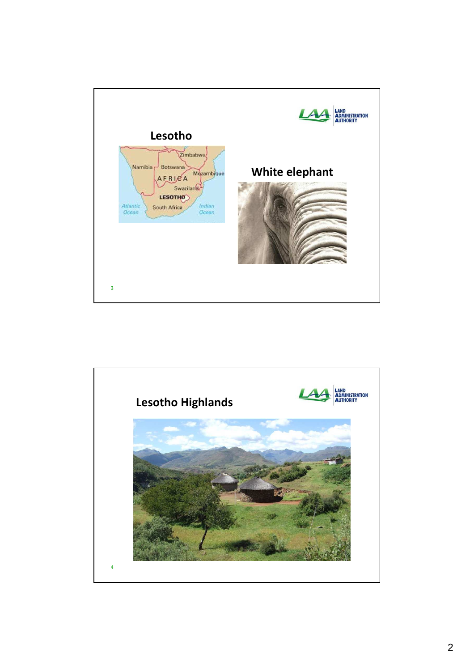

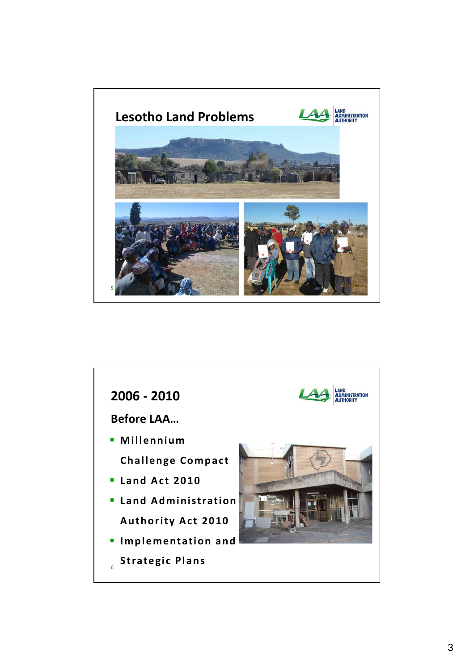

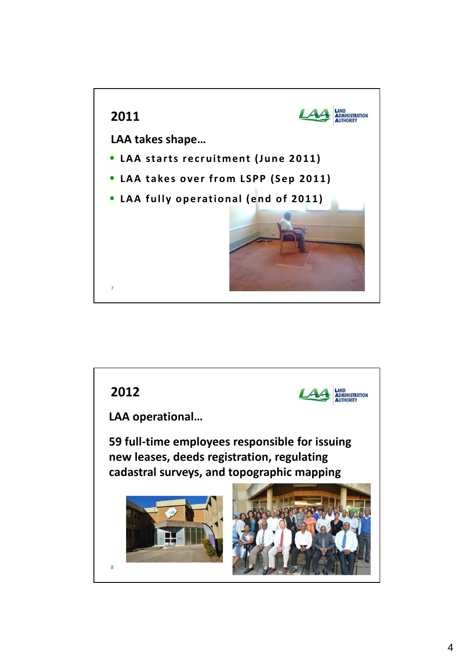

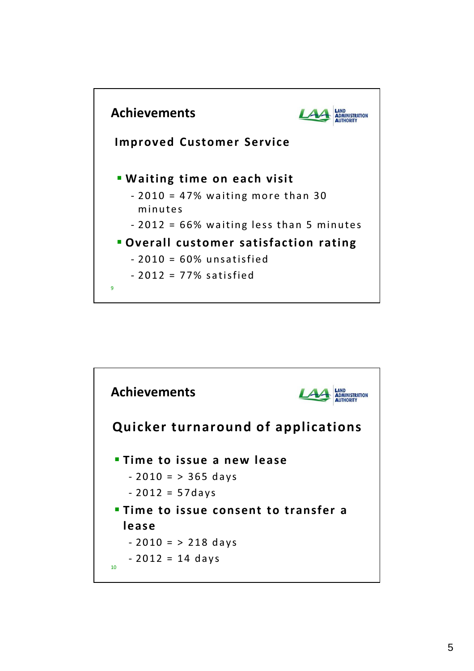

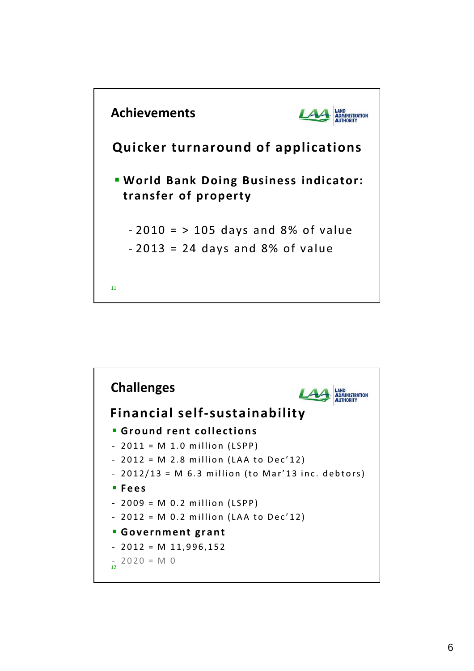